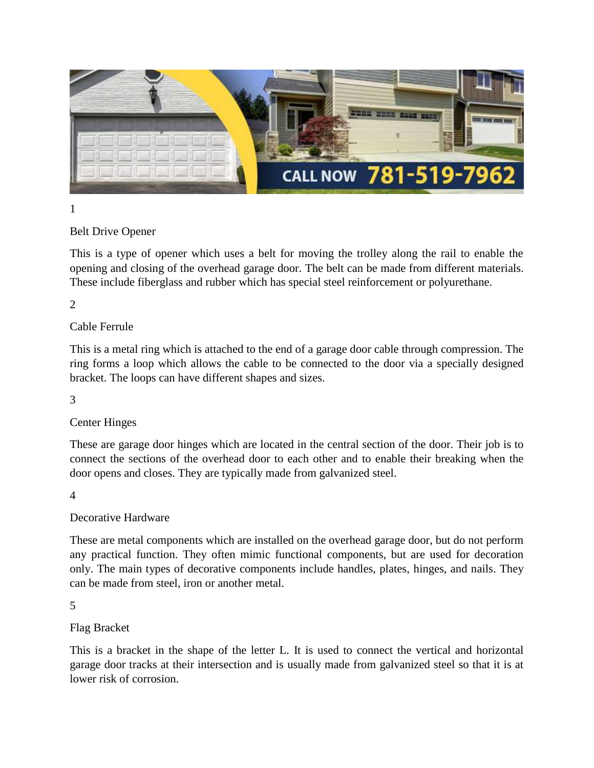

1

## Belt Drive Opener

This is a type of opener which uses a belt for moving the trolley along the rail to enable the opening and closing of the overhead garage door. The belt can be made from different materials. These include fiberglass and rubber which has special steel reinforcement or polyurethane.

2

## Cable Ferrule

This is a metal ring which is attached to the end of a garage door cable through compression. The ring forms a loop which allows the cable to be connected to the door via a specially designed bracket. The loops can have different shapes and sizes.

3

## Center Hinges

These are garage door hinges which are located in the central section of the door. Their job is to connect the sections of the overhead door to each other and to enable their breaking when the door opens and closes. They are typically made from galvanized steel.

4

#### Decorative Hardware

These are metal components which are installed on the overhead garage door, but do not perform any practical function. They often mimic functional components, but are used for decoration only. The main types of decorative components include handles, plates, hinges, and nails. They can be made from steel, iron or another metal.

5

#### Flag Bracket

This is a bracket in the shape of the letter L. It is used to connect the vertical and horizontal garage door tracks at their intersection and is usually made from galvanized steel so that it is at lower risk of corrosion.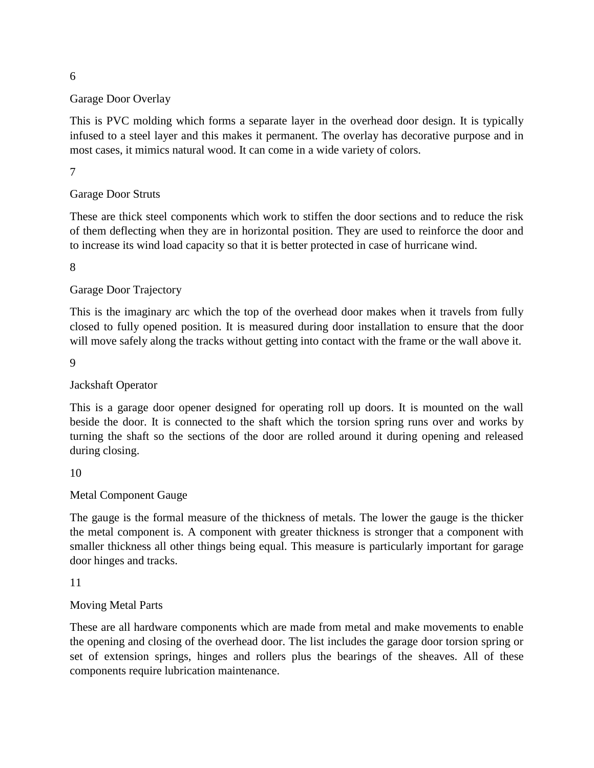#### 6

#### Garage Door Overlay

This is PVC molding which forms a separate layer in the overhead door design. It is typically infused to a steel layer and this makes it permanent. The overlay has decorative purpose and in most cases, it mimics natural wood. It can come in a wide variety of colors.

#### 7

## Garage Door Struts

These are thick steel components which work to stiffen the door sections and to reduce the risk of them deflecting when they are in horizontal position. They are used to reinforce the door and to increase its wind load capacity so that it is better protected in case of hurricane wind.

#### 8

## Garage Door Trajectory

This is the imaginary arc which the top of the overhead door makes when it travels from fully closed to fully opened position. It is measured during door installation to ensure that the door will move safely along the tracks without getting into contact with the frame or the wall above it.

9

## Jackshaft Operator

This is a garage door opener designed for operating roll up doors. It is mounted on the wall beside the door. It is connected to the shaft which the torsion spring runs over and works by turning the shaft so the sections of the door are rolled around it during opening and released during closing.

#### 10

## Metal Component Gauge

The gauge is the formal measure of the thickness of metals. The lower the gauge is the thicker the metal component is. A component with greater thickness is stronger that a component with smaller thickness all other things being equal. This measure is particularly important for garage door hinges and tracks.

#### 11

## Moving Metal Parts

These are all hardware components which are made from metal and make movements to enable the opening and closing of the overhead door. The list includes the garage door torsion spring or set of extension springs, hinges and rollers plus the bearings of the sheaves. All of these components require lubrication maintenance.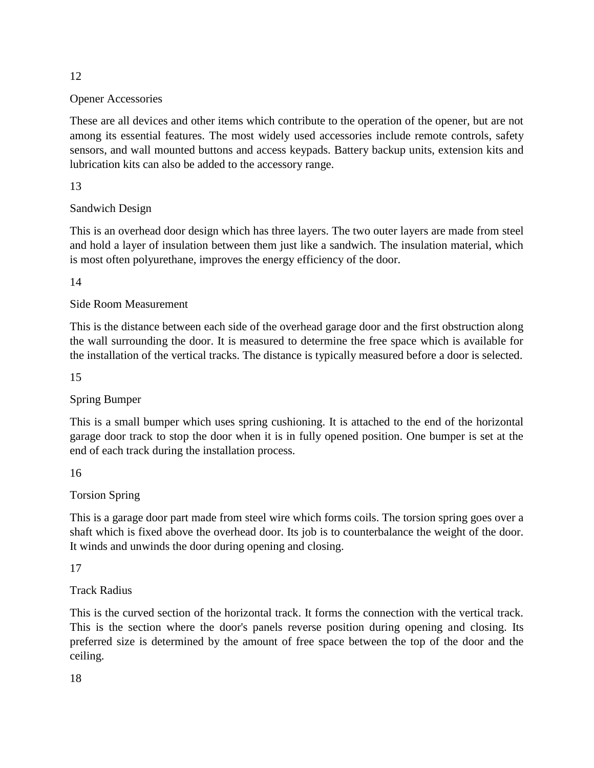#### 12

#### Opener Accessories

These are all devices and other items which contribute to the operation of the opener, but are not among its essential features. The most widely used accessories include remote controls, safety sensors, and wall mounted buttons and access keypads. Battery backup units, extension kits and lubrication kits can also be added to the accessory range.

### 13

## Sandwich Design

This is an overhead door design which has three layers. The two outer layers are made from steel and hold a layer of insulation between them just like a sandwich. The insulation material, which is most often polyurethane, improves the energy efficiency of the door.

### 14

## Side Room Measurement

This is the distance between each side of the overhead garage door and the first obstruction along the wall surrounding the door. It is measured to determine the free space which is available for the installation of the vertical tracks. The distance is typically measured before a door is selected.

#### 15

## Spring Bumper

This is a small bumper which uses spring cushioning. It is attached to the end of the horizontal garage door track to stop the door when it is in fully opened position. One bumper is set at the end of each track during the installation process.

16

# Torsion Spring

This is a garage door part made from steel wire which forms coils. The torsion spring goes over a shaft which is fixed above the overhead door. Its job is to counterbalance the weight of the door. It winds and unwinds the door during opening and closing.

#### 17

## Track Radius

This is the curved section of the horizontal track. It forms the connection with the vertical track. This is the section where the door's panels reverse position during opening and closing. Its preferred size is determined by the amount of free space between the top of the door and the ceiling.

18